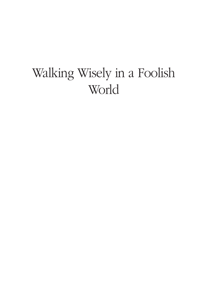### Walking Wisely in a Foolish World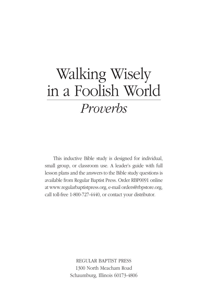## Walking Wisely in a Foolish World *Proverbs*

This inductive Bible study is designed for individual, small group, or classroom use. A leader's guide with full lesson plans and the answers to the Bible study questions is available from Regular Baptist Press. Order RBP0091 online at www.regularbaptistpress.org, e-mail orders@rbpstore.org, call toll-free 1-800-727-4440, or contact your distributor.

> Regular Baptist Press 1300 North Meacham Road Schaumburg, Illinois 60173-4806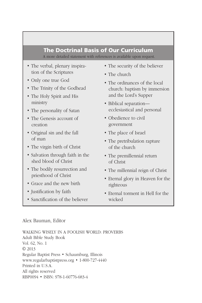### The Doctrinal Basis of Our Curriculum

A more detailed statement with references is available upon request.

- The verbal, plenary inspiration of the Scriptures
- Only one true God
- The Trinity of the Godhead
- The Holy Spirit and His ministry
- The personality of Satan
- The Genesis account of creation
- Original sin and the fall of man
- The virgin birth of Christ
- Salvation through faith in the shed blood of Christ
- The bodily resurrection and priesthood of Christ
- Grace and the new birth
- Justification by faith
- Sanctification of the believer
- The security of the believer
- The church
- The ordinances of the local church: baptism by immersion and the Lord's Supper
- Biblical separation ecclesiastical and personal
- Obedience to civil government
- The place of Israel
- The pretribulation rapture of the church
- The premillennial return of Christ
- The millennial reign of Christ
- Eternal glory in Heaven for the righteous
- Eternal torment in Hell for the wicked

#### Alex Bauman, Editor

Walking Wisely in a Foolish World: Proverbs Adult Bible Study Book Vol. 62, No. 1 © 2013 Regular Baptist Press • Schaumburg, Illinois www.regularbaptistpress.org • 1-800-727-4440 Printed in U.S.A. All rights reserved RBP0094 • ISBN: 978-1-60776-683-4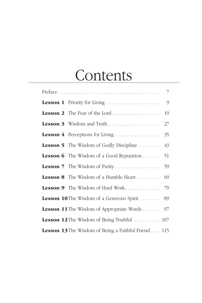### **Contents**

|                                                         | $\overline{7}$ |
|---------------------------------------------------------|----------------|
|                                                         | $\mathcal{Q}$  |
| <b>Lesson 2</b> The Fear of the Lord                    | 19             |
| <b>Lesson 3</b> Wisdom and Truth $\ldots$               | 27             |
|                                                         | 35             |
| <b>Lesson 5</b> The Wisdom of Godly Discipline          | 43             |
| <b>Lesson 6</b> The Wisdom of a Good Reputation $\dots$ | 51             |
| <b>Lesson 7</b> The Wisdom of Purity                    | 59             |
| Lesson 8 The Wisdom of a Humble Heart                   | 69             |
| <b>Lesson 9</b> The Wisdom of Hard Work                 | 79             |
| <b>Lesson 10</b> The Wisdom of a Generous Spirit        | 89             |
| <b>Lesson 11</b> The Wisdom of Appropriate Words        | 97             |
| <b>Lesson 12</b> The Wisdom of Being Truthful           | 107            |
| <b>Lesson 13</b> The Wisdom of Being a Faithful Friend  | 115            |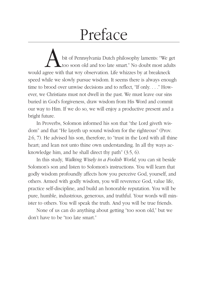# Preface

bit of Pennsylvania Dutch philosophy laments: "We get too soon old and too late smart." No doubt most adults would agree with that wry observation. Life whizzes by at breakneck speed while we slowly pursue wisdom. It seems there is always enough time to brood over unwise decisions and to reflect, "If only. . . ." However, we Christians must not dwell in the past. We must leave our sins buried in God's forgiveness, draw wisdom from His Word and commit our way to Him. If we do so, we will enjoy a productive present and a bright future.

In Proverbs, Solomon informed his son that "the Lord giveth wisdom" and that "He layeth up sound wisdom for the righteous" (Prov. 2:6, 7). He advised his son, therefore, to "trust in the Lord with all thine heart; and lean not unto thine own understanding. In all thy ways acknowledge him, and he shall direct thy path" (3:5, 6).

In this study, *Walking Wisely in a Foolish World,* you can sit beside Solomon's son and listen to Solomon's instructions. You will learn that godly wisdom profoundly affects how you perceive God, yourself, and others. Armed with godly wisdom, you will reverence God, value life, practice self-discipline, and build an honorable reputation. You will be pure, humble, industrious, generous, and truthful. Your words will minister to others. You will speak the truth. And you will be true friends.

None of us can do anything about getting "too soon old," but we don't have to be "too late smart."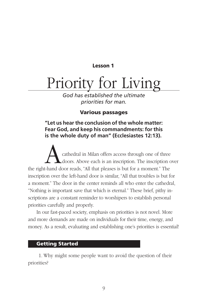#### Lesson 1

## Priority for Living

*God has established the ultimate priorities for man.*

#### Various passages

#### **"Let us hear the conclusion of the whole matter: Fear God, and keep his commandments: for this is the whole duty of man" (Ecclesiastes 12:13).**

cathedral in Milan offers access through one of three doors. Above each is an inscription. The inscription over the right-hand door reads, "All that pleases is but for a moment." The inscription over the left-hand door is similar, "All that troubles is but for a moment." The door in the center reminds all who enter the cathedral, "Nothing is important save that which is eternal." These brief, pithy inscriptions are a constant reminder to worshipers to establish personal priorities carefully and properly.

In our fast-paced society, emphasis on priorities is not novel. More and more demands are made on individuals for their time, energy, and money. As a result, evaluating and establishing one's priorities is essential!

#### Getting Started

1. Why might some people want to avoid the question of their priorities?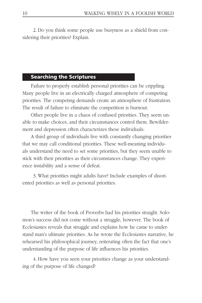2. Do you think some people use busyness as a shield from considering their priorities? Explain.

#### Searching the Scriptures

Failure to properly establish personal priorities can be crippling. Many people live in an electrically charged atmosphere of competing priorities. The competing demands create an atmosphere of frustration. The result of failure to eliminate the competition is burnout.

Other people live in a chaos of confused priorities. They seem unable to make choices, and their circumstances control them. Bewilderment and depression often characterizes these individuals.

A third group of individuals live with constantly changing priorities that we may call conditional priorities. These well-meaning individuals understand the need to set some priorities, but they seem unable to stick with their priorities as their circumstances change. They experience instability and a sense of defeat.

3. What priorities might adults have? Include examples of disoriented priorities as well as personal priorities.

The writer of the book of Proverbs had his priorities straight. Solomon's success did not come without a struggle, however. The book of Ecclesiastes reveals that struggle and explains how he came to understand man's ultimate priorities. As he wrote the Ecclesiastes narrative, he rehearsed his philosophical journey, reiterating often the fact that one's understanding of the purpose of life influences his priorities.

4. How have you seen your priorities change as your understanding of the purpose of life changed?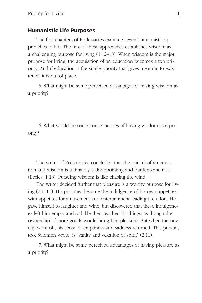#### Humanistic Life Purposes

The first chapters of Ecclesiastes examine several humanistic approaches to life. The first of these approaches establishes wisdom as a challenging purpose for living (1:12–18). When wisdom is the major purpose for living, the acquisition of an education becomes a top priority. And if education is the single priority that gives meaning to existence, it is out of place.

5. What might be some perceived advantages of having wisdom as a priority?

6. What would be some consequences of having wisdom as a priority?

The writer of Ecclesiastes concluded that the pursuit of an education and wisdom is ultimately a disappointing and burdensome task (Eccles. 1:18). Pursuing wisdom is like chasing the wind.

The writer decided further that pleasure is a worthy purpose for living (2:1–11). His priorities became the indulgence of his own appetites, with appetites for amusement and entertainment leading the effort. He gave himself to laughter and wine, but discovered that these indulgences left him empty and sad. He then reached for things, as though the ownership of more goods would bring him pleasure. But when the novelty wore off, his sense of emptiness and sadness returned. This pursuit, too, Solomon wrote, is "vanity and vexation of spirit" (2:11).

7. What might be some perceived advantages of having pleasure as a priority?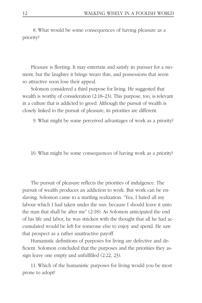8. What would be some consequences of having pleasure as a priority?

Pleasure is fleeting. It may entertain and satisfy its pursuer for a moment, but the laughter it brings wears thin, and possessions that seem so attractive soon lose their appeal.

Solomon considered a third purpose for living. He suggested that wealth is worthy of consideration (2:18–23). This purpose, too, is relevant in a culture that is addicted to greed. Although the pursuit of wealth is closely linked to the pursuit of pleasure, its priorities are different.

9. What might be some perceived advantages of work as a priority?

10. What might be some consequences of having work as a priority?

The pursuit of pleasure reflects the priorities of indulgence. The pursuit of wealth produces an addiction to work. But work can be enslaving. Solomon came to a startling realization: "Yea, I hated all my labour which I had taken under the sun: because I should leave it unto the man that shall be after me" (2:18). As Solomon anticipated the end of his life and labor, he was stricken with the thought that all he had accumulated would be left for someone else to enjoy and spend. He saw that prospect as a rather unattractive payoff.

Humanistic definitions of purposes for living are defective and deficient. Solomon concluded that the purposes and the priorities they assign leave one empty and unfulfilled (2:22, 23).

11. Which of the humanistic purposes for living would you be most prone to adopt?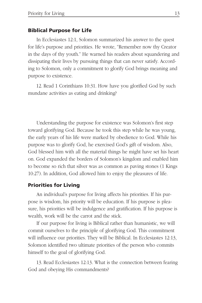#### Biblical Purpose for Life

In Ecclesiastes 12:1, Solomon summarized his answer to the quest for life's purpose and priorities. He wrote, "Remember now thy Creator in the days of thy youth." He warned his readers about squandering and dissipating their lives by pursuing things that can never satisfy. According to Solomon, only a commitment to glorify God brings meaning and purpose to existence.

12. Read 1 Corinthians 10:31. How have you glorified God by such mundane activities as eating and drinking?

Understanding the purpose for existence was Solomon's first step toward glorifying God. Because he took this step while he was young, the early years of his life were marked by obedience to God. While his purpose was to glorify God, he exercised God's gift of wisdom. Also, God blessed him with all the material things he might have set his heart on. God expanded the borders of Solomon's kingdom and enabled him to become so rich that silver was as common as paving stones (1 Kings 10:27). In addition, God allowed him to enjoy the pleasures of life.

#### Priorities for Living

An individual's purpose for living affects his priorities. If his purpose is wisdom, his priority will be education. If his purpose is pleasure, his priorities will be indulgence and gratification. If his purpose is wealth, work will be the carrot and the stick.

If our purpose for living is Biblical rather than humanistic, we will commit ourselves to the principle of glorifying God. This commitment will influence our priorities. They will be Biblical. In Ecclesiastes 12:13, Solomon identified two ultimate priorities of the person who commits himself to the goal of glorifying God.

13. Read Ecclesiastes 12:13. What is the connection between fearing God and obeying His commandments?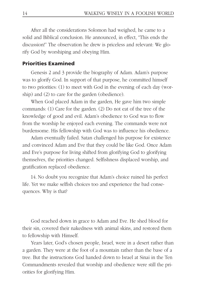After all the considerations Solomon had weighed, he came to a solid and Biblical conclusion. He announced, in effect, "This ends the discussion!" The observation he drew is priceless and relevant: We glorify God by worshiping and obeying Him.

#### Priorities Examined

Genesis 2 and 3 provide the biography of Adam. Adam's purpose was to glorify God. In support of that purpose, he committed himself to two priorities: (1) to meet with God in the evening of each day (worship) and (2) to care for the garden (obedience).

When God placed Adam in the garden, He gave him two simple commands: (1) Care for the garden. (2) Do not eat of the tree of the knowledge of good and evil. Adam's obedience to God was to flow from the worship he enjoyed each evening. The commands were not burdensome. His fellowship with God was to influence his obedience.

Adam eventually failed. Satan challenged his purpose for existence and convinced Adam and Eve that they could be like God. Once Adam and Eve's purpose for living shifted from glorifying God to glorifying themselves, the priorities changed. Selfishness displaced worship, and gratification replaced obedience.

14. No doubt you recognize that Adam's choice ruined his perfect life. Yet we make selfish choices too and experience the bad consequences. Why is that?

God reached down in grace to Adam and Eve. He shed blood for their sin, covered their nakedness with animal skins, and restored them to fellowship with Himself.

Years later, God's chosen people, Israel, were in a desert rather than a garden. They were at the foot of a mountain rather than the base of a tree. But the instructions God handed down to Israel at Sinai in the Ten Commandments revealed that worship and obedience were still the priorities for glorifying Him.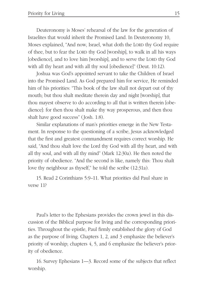Deuteronomy is Moses' rehearsal of the law for the generation of Israelites that would inherit the Promised Land. In Deuteronomy 10, Moses explained, "And now, Israel, what doth the LORD thy God require of thee, but to fear the LORD thy God [worship], to walk in all his ways [obedience], and to love him [worship], and to serve the LORD thy God with all thy heart and with all thy soul [obedience]" (Deut. 10:12).

Joshua was God's appointed servant to take the Children of Israel into the Promised Land. As God prepared him for service, He reminded him of his priorities: "This book of the law shall not depart out of thy mouth; but thou shalt meditate therein day and night [worship], that thou mayest observe to do according to all that is written therein [obedience]: for then thou shalt make thy way prosperous, and then thou shalt have good success" (Josh. 1:8).

Similar explanations of man's priorities emerge in the New Testament. In response to the questioning of a scribe, Jesus acknowledged that the first and greatest commandment requires correct worship. He said, "And thou shalt love the Lord thy God with all thy heart, and with all thy soul, and with all thy mind" (Mark 12:30a). He then noted the priority of obedience. "And the second is like, namely this: Thou shalt love thy neighbour as thyself," he told the scribe (12:31a).

15. Read 2 Corinthians 5:9–11. What priorities did Paul share in verse 11?

Paul's letter to the Ephesians provides the crown jewel in this discussion of the Biblical purpose for living and the corresponding priorities. Throughout the epistle, Paul firmly established the glory of God as the purpose of living. Chapters 1, 2, and 3 emphasize the believer's priority of worship; chapters 4, 5, and 6 emphasize the believer's priority of obedience.

16. Survey Ephesians 1—3. Record some of the subjects that reflect worship.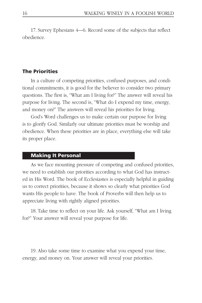17. Survey Ephesians 4—6. Record some of the subjects that reflect obedience.

#### The Priorities

In a culture of competing priorities, confused purposes, and conditional commitments, it is good for the believer to consider two primary questions. The first is, "What am I living for?" The answer will reveal his purpose for living. The second is, "What do I expend my time, energy, and money on?" The answers will reveal his priorities for living.

God's Word challenges us to make certain our purpose for living is to glorify God. Similarly our ultimate priorities must be worship and obedience. When these priorities are in place, everything else will take its proper place.

#### Making It Personal

As we face mounting pressure of competing and confused priorities, we need to establish our priorities according to what God has instructed in His Word. The book of Ecclesiastes is especially helpful in guiding us to correct priorities, because it shows so clearly what priorities God wants His people to have. The book of Proverbs will then help us to appreciate living with rightly aligned priorities.

18. Take time to reflect on your life. Ask yourself, "What am I living for?" Your answer will reveal your purpose for life.

19. Also take some time to examine what you expend your time, energy, and money on. Your answer will reveal your priorities.